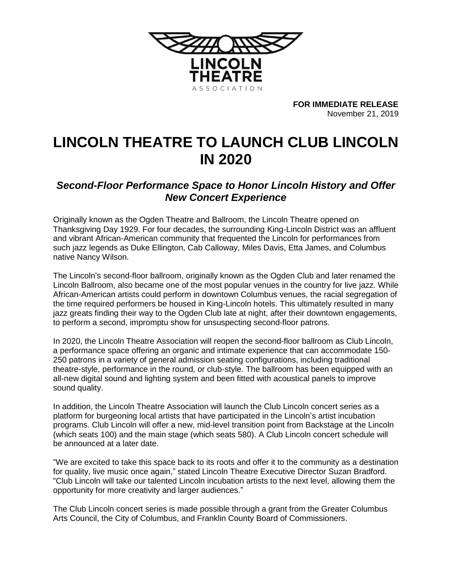

**FOR IMMEDIATE RELEASE** November 21, 2019

## **LINCOLN THEATRE TO LAUNCH CLUB LINCOLN IN 2020**

## *Second-Floor Performance Space to Honor Lincoln History and Offer New Concert Experience*

Originally known as the Ogden Theatre and Ballroom, the Lincoln Theatre opened on Thanksgiving Day 1929. For four decades, the surrounding King-Lincoln District was an affluent and vibrant African-American community that frequented the Lincoln for performances from such jazz legends as Duke Ellington, Cab Calloway, Miles Davis, Etta James, and Columbus native Nancy Wilson.

The Lincoln's second-floor ballroom, originally known as the Ogden Club and later renamed the Lincoln Ballroom, also became one of the most popular venues in the country for live jazz. While African-American artists could perform in downtown Columbus venues, the racial segregation of the time required performers be housed in King-Lincoln hotels. This ultimately resulted in many jazz greats finding their way to the Ogden Club late at night, after their downtown engagements, to perform a second, impromptu show for unsuspecting second-floor patrons.

In 2020, the Lincoln Theatre Association will reopen the second-floor ballroom as Club Lincoln, a performance space offering an organic and intimate experience that can accommodate 150- 250 patrons in a variety of general admission seating configurations, including traditional theatre-style, performance in the round, or club-style. The ballroom has been equipped with an all-new digital sound and lighting system and been fitted with acoustical panels to improve sound quality.

In addition, the Lincoln Theatre Association will launch the Club Lincoln concert series as a platform for burgeoning local artists that have participated in the Lincoln's artist incubation programs. Club Lincoln will offer a new, mid-level transition point from Backstage at the Lincoln (which seats 100) and the main stage (which seats 580). A Club Lincoln concert schedule will be announced at a later date.

"We are excited to take this space back to its roots and offer it to the community as a destination for quality, live music once again," stated Lincoln Theatre Executive Director Suzan Bradford. "Club Lincoln will take our talented Lincoln incubation artists to the next level, allowing them the opportunity for more creativity and larger audiences."

The Club Lincoln concert series is made possible through a grant from the Greater Columbus Arts Council, the City of Columbus, and Franklin County Board of Commissioners.